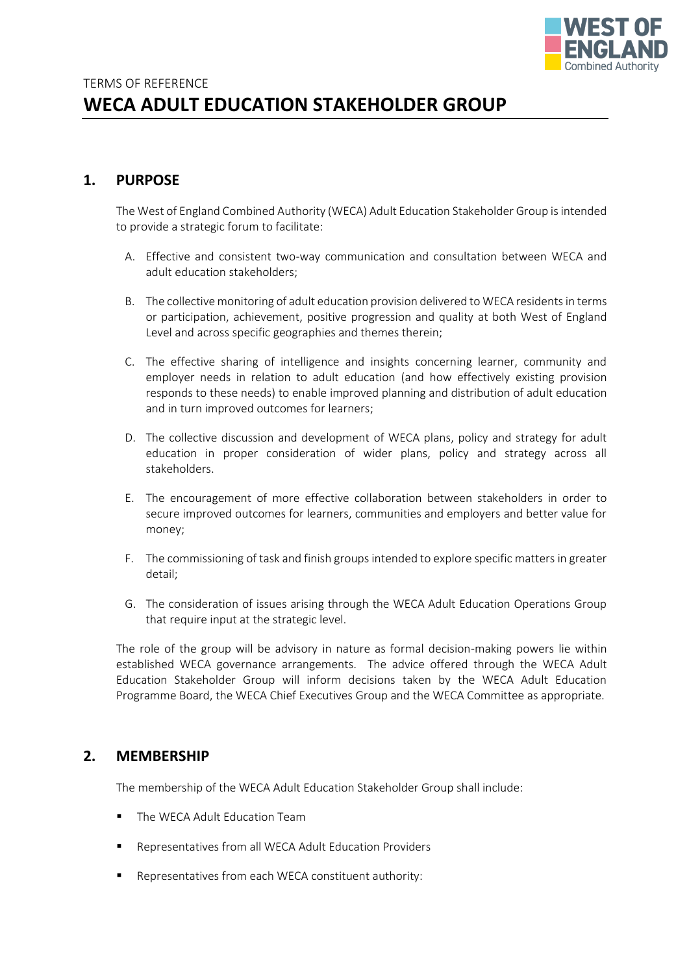

# **1. PURPOSE**

The West of England Combined Authority (WECA) Adult Education Stakeholder Group is intended to provide a strategic forum to facilitate:

- A. Effective and consistent two-way communication and consultation between WECA and adult education stakeholders;
- B. The collective monitoring of adult education provision delivered to WECA residents in terms or participation, achievement, positive progression and quality at both West of England Level and across specific geographies and themes therein;
- C. The effective sharing of intelligence and insights concerning learner, community and employer needs in relation to adult education (and how effectively existing provision responds to these needs) to enable improved planning and distribution of adult education and in turn improved outcomes for learners;
- D. The collective discussion and development of WECA plans, policy and strategy for adult education in proper consideration of wider plans, policy and strategy across all stakeholders.
- E. The encouragement of more effective collaboration between stakeholders in order to secure improved outcomes for learners, communities and employers and better value for money;
- F. The commissioning of task and finish groups intended to explore specific matters in greater detail;
- G. The consideration of issues arising through the WECA Adult Education Operations Group that require input at the strategic level.

The role of the group will be advisory in nature as formal decision-making powers lie within established WECA governance arrangements. The advice offered through the WECA Adult Education Stakeholder Group will inform decisions taken by the WECA Adult Education Programme Board, the WECA Chief Executives Group and the WECA Committee as appropriate.

### **2. MEMBERSHIP**

The membership of the WECA Adult Education Stakeholder Group shall include:

- The WECA Adult Education Team
- Representatives from all WECA Adult Education Providers
- Representatives from each WECA constituent authority: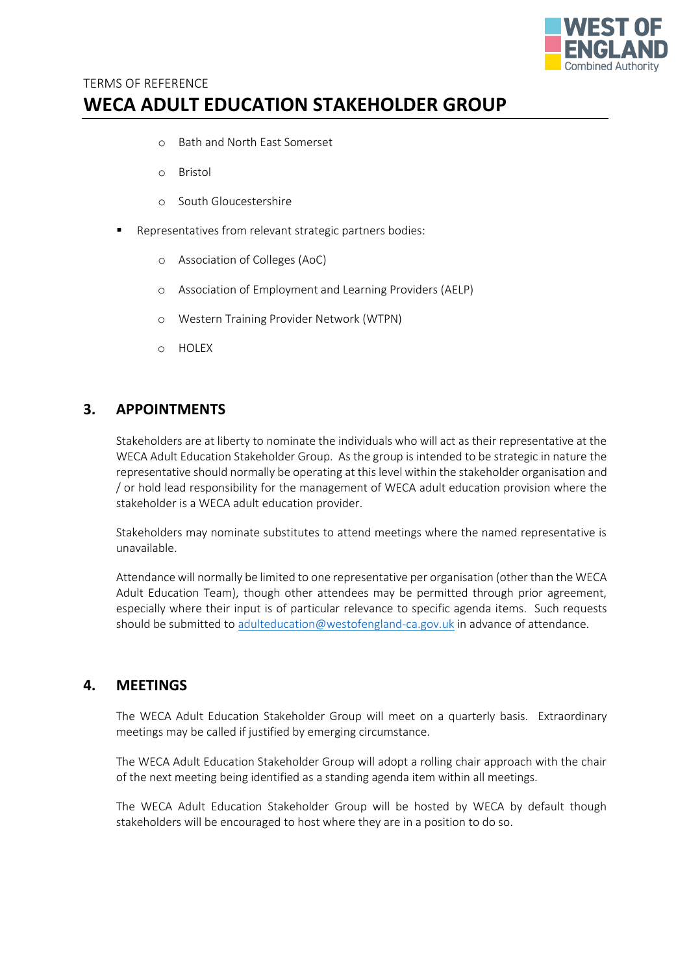

# TERMS OF REFERENCE **WECA ADULT EDUCATION STAKEHOLDER GROUP**

- o Bath and North East Somerset
- o Bristol
- o South Gloucestershire
- Representatives from relevant strategic partners bodies:
	- o Association of Colleges (AoC)
	- o Association of Employment and Learning Providers (AELP)
	- o Western Training Provider Network (WTPN)
	- o HOLEX

# **3. APPOINTMENTS**

Stakeholders are at liberty to nominate the individuals who will act as their representative at the WECA Adult Education Stakeholder Group. As the group is intended to be strategic in nature the representative should normally be operating at this level within the stakeholder organisation and / or hold lead responsibility for the management of WECA adult education provision where the stakeholder is a WECA adult education provider.

Stakeholders may nominate substitutes to attend meetings where the named representative is unavailable.

Attendance will normally be limited to one representative per organisation (other than the WECA Adult Education Team), though other attendees may be permitted through prior agreement, especially where their input is of particular relevance to specific agenda items. Such requests should be submitted t[o adulteducation@westofengland-ca.gov.uk](mailto:adulteducation@westofengland-ca.gov.uk) in advance of attendance.

### **4. MEETINGS**

The WECA Adult Education Stakeholder Group will meet on a quarterly basis. Extraordinary meetings may be called if justified by emerging circumstance.

The WECA Adult Education Stakeholder Group will adopt a rolling chair approach with the chair of the next meeting being identified as a standing agenda item within all meetings.

The WECA Adult Education Stakeholder Group will be hosted by WECA by default though stakeholders will be encouraged to host where they are in a position to do so.